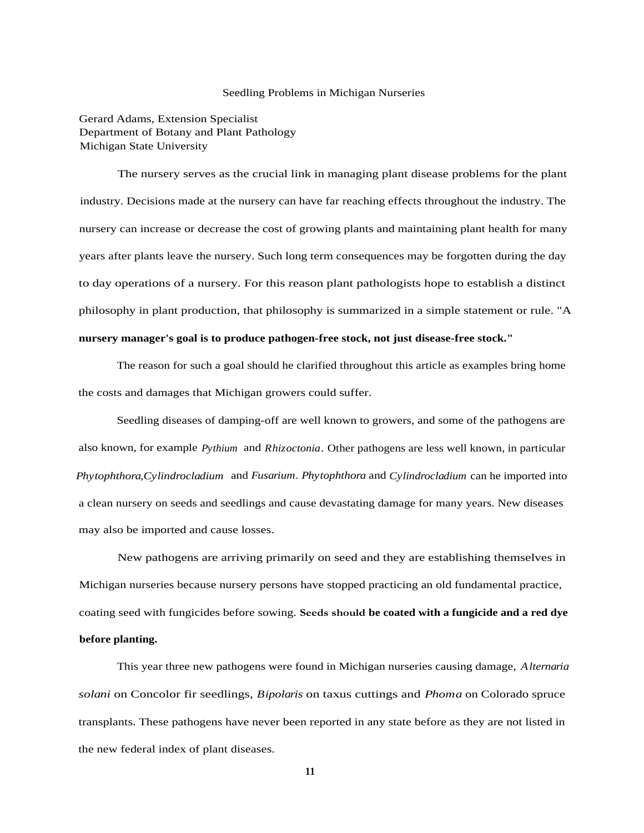## Seedling Problems in Michigan Nurseries

Gerard Adams, Extension Specialist Department of Botany and Plant Pathology Michigan State University

The nursery serves as the crucial link in managing plant disease problems for the plant industry. Decisions made at the nursery can have far reaching effects throughout the industry. The nursery can increase or decrease the cost of growing plants and maintaining plant health for many years after plants leave the nursery. Such long term consequences may be forgotten during the day to day operations of a nursery. For this reason plant pathologists hope to establish a distinct philosophy in plant production, that philosophy is summarized in a simple statement or rule. "A **nursery manager's goal is to produce pathogen-free stock, not just disease-free stock."**

The reason for such a goal should he clarified throughout this article as examples bring home the costs and damages that Michigan growers could suffer.

Seedling diseases of damping-off are well known to growers, and some of the pathogens are also known, for example *Pythium* and *Rhizoctonia.* Other pathogens are less well known, in particular *Phytophthora,Cylindrocladium* and *Fusarium. Phytophthora* and *Cylindrocladium* can he imported into a clean nursery on seeds and seedlings and cause devastating damage for many years. New diseases may also be imported and cause losses.

New pathogens are arriving primarily on seed and they are establishing themselves in Michigan nurseries because nursery persons have stopped practicing an old fundamental practice, coating seed with fungicides before sowing. **Seeds should be coated with a fungicide and a red dye before planting.**

This year three new pathogens were found in Michigan nurseries causing damage, *Alternaria solani* on Concolor fir seedlings, *Bipolaris* on taxus cuttings and *Phoma* on Colorado spruce transplants. These pathogens have never been reported in any state before as they are not listed in the new federal index of plant diseases.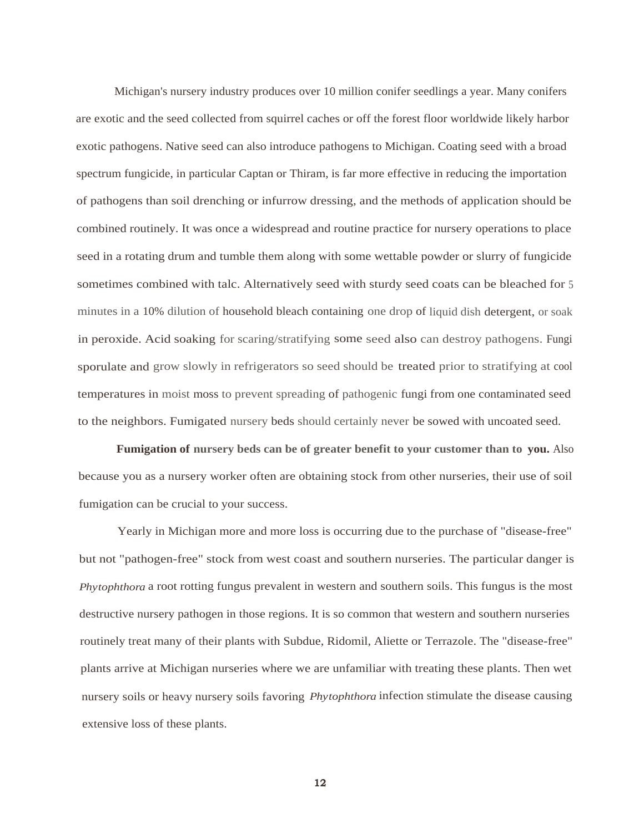Michigan's nursery industry produces over 10 million conifer seedlings a year. Many conifers are exotic and the seed collected from squirrel caches or off the forest floor worldwide likely harbor exotic pathogens. Native seed can also introduce pathogens to Michigan. Coating seed with a broad spectrum fungicide, in particular Captan or Thiram, is far more effective in reducing the importation of pathogens than soil drenching or infurrow dressing, and the methods of application should be combined routinely. It was once a widespread and routine practice for nursery operations to place seed in a rotating drum and tumble them along with some wettable powder or slurry of fungicide sometimes combined with talc. Alternatively seed with sturdy seed coats can be bleached for 5 minutes in a 10% dilution of household bleach containing one drop of liquid dish detergent, or soak in peroxide. Acid soaking for scaring/stratifying some seed also can destroy pathogens. Fungi sporulate and grow slowly in refrigerators so seed should be treated prior to stratifying at cool temperatures in moist moss to prevent spreading of pathogenic fungi from one contaminated seed to the neighbors. Fumigated nursery beds should certainly never be sowed with uncoated seed.

**Fumigation of nursery beds can be of greater benefit to your customer than to you.** Also because you as a nursery worker often are obtaining stock from other nurseries, their use of soil fumigation can be crucial to your success.

Yearly in Michigan more and more loss is occurring due to the purchase of "disease-free" but not "pathogen-free" stock from west coast and southern nurseries. The particular danger is *Phytophthora* a root rotting fungus prevalent in western and southern soils. This fungus is the most destructive nursery pathogen in those regions. It is so common that western and southern nurseries routinely treat many of their plants with Subdue, Ridomil, Aliette or Terrazole. The "disease-free" plants arrive at Michigan nurseries where we are unfamiliar with treating these plants. Then wet nursery soils or heavy nursery soils favoring *Phytophthora* infection stimulate the disease causing extensive loss of these plants.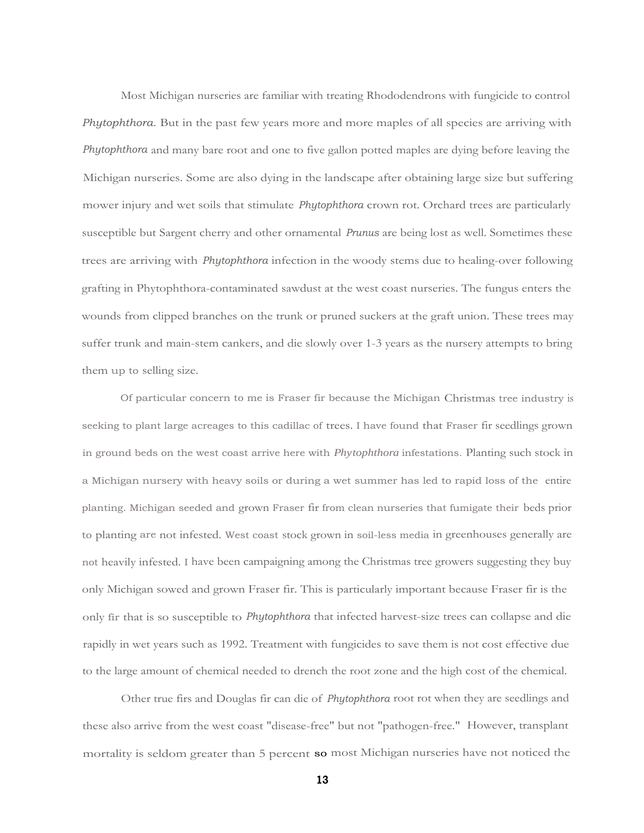Most Michigan nurseries are familiar with treating Rhododendrons with fungicide to control *Phytophthora.* But in the past few years more and more maples of all species are arriving with *Phytophthora* and many bare root and one to five gallon potted maples are dying before leaving the Michigan nurseries. Some are also dying in the landscape after obtaining large size but suffering mower injury and wet soils that stimulate *Phytophthora* crown rot. Orchard trees are particularly susceptible but Sargent cherry and other ornamental *Prunus* are being lost as well. Sometimes these trees are arriving with *Phytophthora* infection in the woody stems due to healing-over following grafting in Phytophthora-contaminated sawdust at the west coast nurseries. The fungus enters the wounds from clipped branches on the trunk or pruned suckers at the graft union. These trees may suffer trunk and main-stem cankers, and die slowly over 1-3 years as the nursery attempts to bring them up to selling size.

Of particular concern to me is Fraser fir because the Michigan Christmas tree industry is seeking to plant large acreages to this cadillac of trees. I have found that Fraser fir seedlings grown in ground beds on the west coast arrive here with *Phytophthora* infestations. Planting such stock in a Michigan nursery with heavy soils or during a wet summer has led to rapid loss of the entire planting. Michigan seeded and grown Fraser fir from clean nurseries that fumigate their beds prior to planting are not infested. West coast stock grown in soil-less media in greenhouses generally are not heavily infested. I have been campaigning among the Christmas tree growers suggesting they buy only Michigan sowed and grown Fraser fir. This is particularly important because Fraser fir is the only fir that is so susceptible to *Phytophthora* that infected harvest-size trees can collapse and die rapidly in wet years such as 1992. Treatment with fungicides to save them is not cost effective due to the large amount of chemical needed to drench the root zone and the high cost of the chemical.

Other true firs and Douglas fir can die of *Phytophthora* root rot when they are seedlings and these also arrive from the west coast "disease-free" but not "pathogen-free." However, transplant mortality is seldom greater than 5 percent so most Michigan nurseries have not noticed the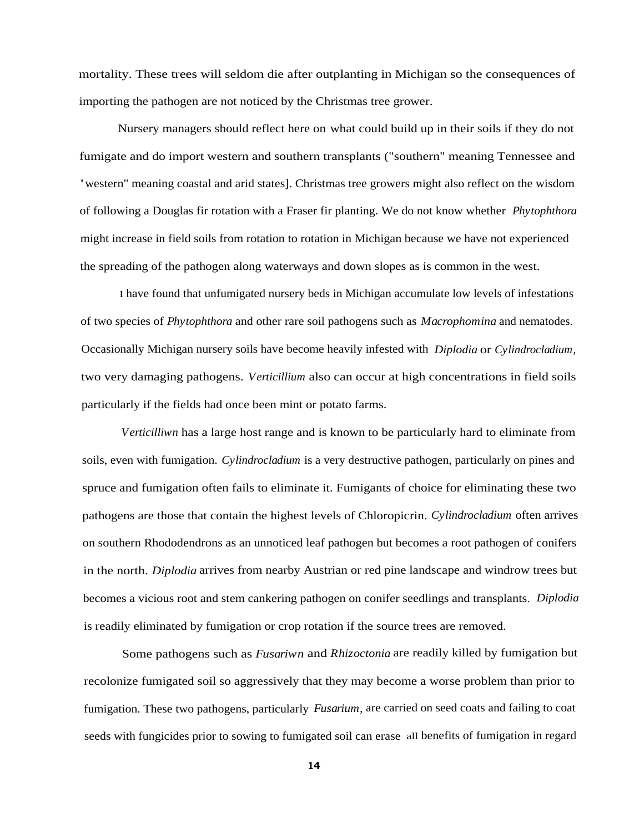mortality. These trees will seldom die after outplanting in Michigan so the consequences of importing the pathogen are not noticed by the Christmas tree grower.

Nursery managers should reflect here on what could build up in their soils if they do not fumigate and do import western and southern transplants ("southern" meaning Tennessee and " western" meaning coastal and arid states]. Christmas tree growers might also reflect on the wisdom of following a Douglas fir rotation with a Fraser fir planting. We do not know whether *Phytophthora* might increase in field soils from rotation to rotation in Michigan because we have not experienced the spreading of the pathogen along waterways and down slopes as is common in the west.

I have found that unfumigated nursery beds in Michigan accumulate low levels of infestations of two species of *Phytophthora* and other rare soil pathogens such as *Macrophomina* and nematodes. Occasionally Michigan nursery soils have become heavily infested with *Diplodia* or *Cylindrocladium,* two very damaging pathogens. *Verticillium* also can occur at high concentrations in field soils particularly if the fields had once been mint or potato farms.

*Verticilliwn* has a large host range and is known to be particularly hard to eliminate from soils, even with fumigation. *Cylindrocladium* is a very destructive pathogen, particularly on pines and spruce and fumigation often fails to eliminate it. Fumigants of choice for eliminating these two pathogens are those that contain the highest levels of Chloropicrin. *Cylindrocladium* often arrives on southern Rhododendrons as an unnoticed leaf pathogen but becomes a root pathogen of conifers in the north. *Diplodia* arrives from nearby Austrian or red pine landscape and windrow trees but becomes a vicious root and stem cankering pathogen on conifer seedlings and transplants. *Diplodia* is readily eliminated by fumigation or crop rotation if the source trees are removed.

Some pathogens such as *Fusariwn* and *Rhizoctonia* are readily killed by fumigation but recolonize fumigated soil so aggressively that they may become a worse problem than prior to fumigation. These two pathogens, particularly *Fusarium,* are carried on seed coats and failing to coat seeds with fungicides prior to sowing to fumigated soil can erase all benefits of fumigation in regard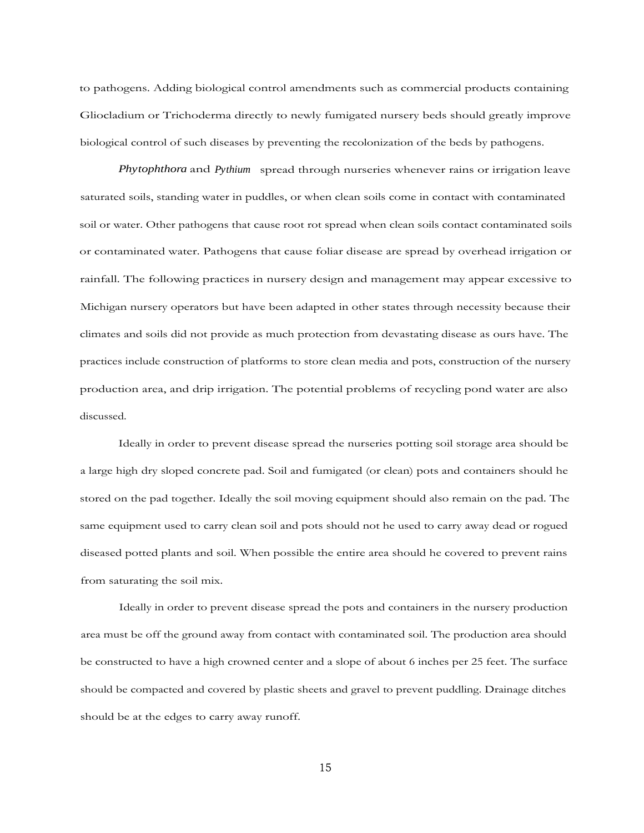to pathogens. Adding biological control amendments such as commercial products containing Gliocladium or Trichoderma directly to newly fumigated nursery beds should greatly improve biological control of such diseases by preventing the recolonization of the beds by pathogens.

*Phytophthora* and *Pythium* spread through nurseries whenever rains or irrigation leave saturated soils, standing water in puddles, or when clean soils come in contact with contaminated soil or water. Other pathogens that cause root rot spread when clean soils contact contaminated soils or contaminated water. Pathogens that cause foliar disease are spread by overhead irrigation or rainfall. The following practices in nursery design and management may appear excessive to Michigan nursery operators but have been adapted in other states through necessity because their climates and soils did not provide as much protection from devastating disease as ours have. The practices include construction of platforms to store clean media and pots, construction of the nursery production area, and drip irrigation. The potential problems of recycling pond water are also discussed.

Ideally in order to prevent disease spread the nurseries potting soil storage area should be a large high dry sloped concrete pad. Soil and fumigated (or clean) pots and containers should he stored on the pad together. Ideally the soil moving equipment should also remain on the pad. The same equipment used to carry clean soil and pots should not he used to carry away dead or rogued diseased potted plants and soil. When possible the entire area should he covered to prevent rains from saturating the soil mix.

Ideally in order to prevent disease spread the pots and containers in the nursery production area must be off the ground away from contact with contaminated soil. The production area should be constructed to have a high crowned center and a slope of about 6 inches per 25 feet. The surface should be compacted and covered by plastic sheets and gravel to prevent puddling. Drainage ditches should be at the edges to carry away runoff.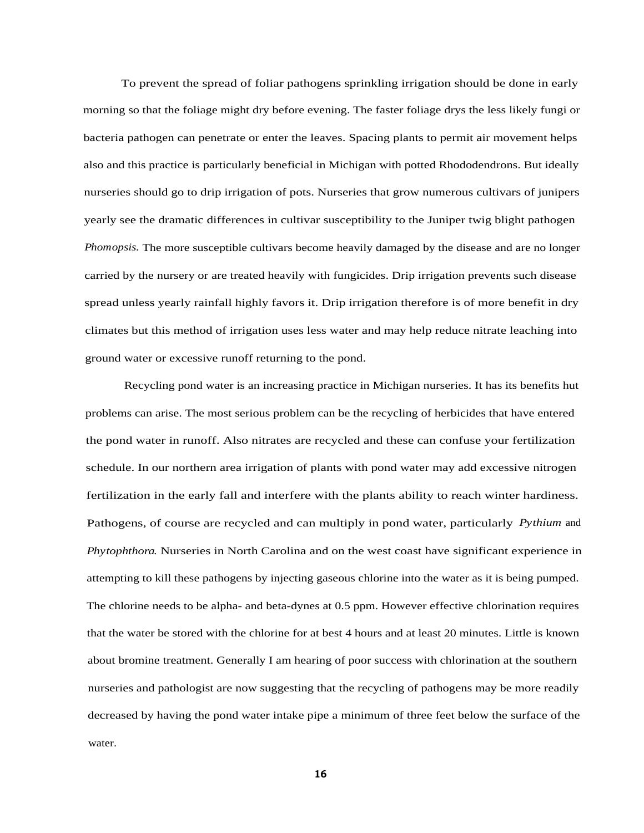To prevent the spread of foliar pathogens sprinkling irrigation should be done in early morning so that the foliage might dry before evening. The faster foliage drys the less likely fungi or bacteria pathogen can penetrate or enter the leaves. Spacing plants to permit air movement helps also and this practice is particularly beneficial in Michigan with potted Rhododendrons. But ideally nurseries should go to drip irrigation of pots. Nurseries that grow numerous cultivars of junipers yearly see the dramatic differences in cultivar susceptibility to the Juniper twig blight pathogen *Phomopsis.* The more susceptible cultivars become heavily damaged by the disease and are no longer carried by the nursery or are treated heavily with fungicides. Drip irrigation prevents such disease spread unless yearly rainfall highly favors it. Drip irrigation therefore is of more benefit in dry climates but this method of irrigation uses less water and may help reduce nitrate leaching into ground water or excessive runoff returning to the pond.

Recycling pond water is an increasing practice in Michigan nurseries. It has its benefits hut problems can arise. The most serious problem can be the recycling of herbicides that have entered the pond water in runoff. Also nitrates are recycled and these can confuse your fertilization schedule. In our northern area irrigation of plants with pond water may add excessive nitrogen fertilization in the early fall and interfere with the plants ability to reach winter hardiness. Pathogens, of course are recycled and can multiply in pond water, particularly *Pythium* and *Phytophthora.* Nurseries in North Carolina and on the west coast have significant experience in attempting to kill these pathogens by injecting gaseous chlorine into the water as it is being pumped. The chlorine needs to be alpha- and beta-dynes at 0.5 ppm. However effective chlorination requires that the water be stored with the chlorine for at best 4 hours and at least 20 minutes. Little is known about bromine treatment. Generally I am hearing of poor success with chlorination at the southern nurseries and pathologist are now suggesting that the recycling of pathogens may be more readily decreased by having the pond water intake pipe a minimum of three feet below the surface of the water.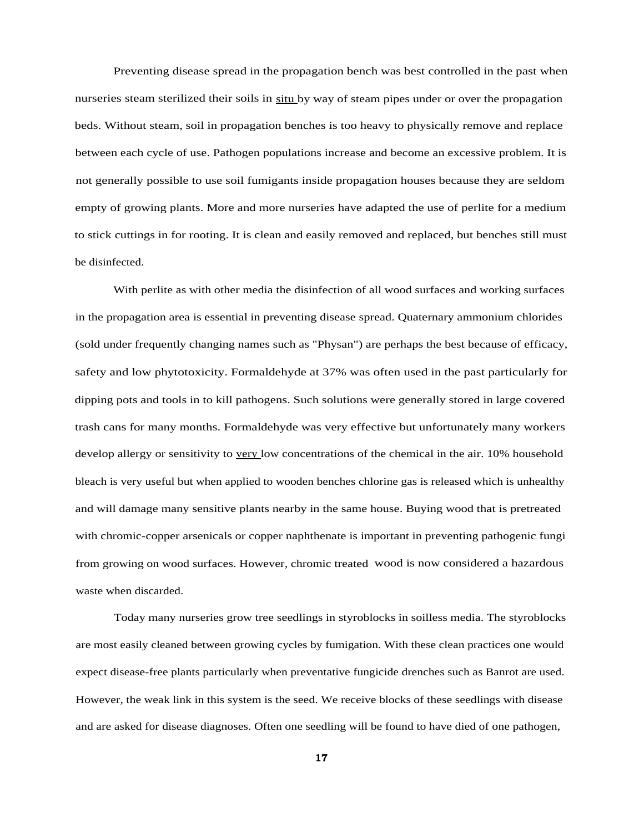Preventing disease spread in the propagation bench was best controlled in the past when nurseries steam sterilized their soils in situ by way of steam pipes under or over the propagation beds. Without steam, soil in propagation benches is too heavy to physically remove and replace between each cycle of use. Pathogen populations increase and become an excessive problem. It is not generally possible to use soil fumigants inside propagation houses because they are seldom empty of growing plants. More and more nurseries have adapted the use of perlite for a medium to stick cuttings in for rooting. It is clean and easily removed and replaced, but benches still must be disinfected.

With perlite as with other media the disinfection of all wood surfaces and working surfaces in the propagation area is essential in preventing disease spread. Quaternary ammonium chlorides (sold under frequently changing names such as "Physan") are perhaps the best because of efficacy, safety and low phytotoxicity. Formaldehyde at 37% was often used in the past particularly for dipping pots and tools in to kill pathogens. Such solutions were generally stored in large covered trash cans for many months. Formaldehyde was very effective but unfortunately many workers develop allergy or sensitivity to very low concentrations of the chemical in the air. 10% household bleach is very useful but when applied to wooden benches chlorine gas is released which is unhealthy and will damage many sensitive plants nearby in the same house. Buying wood that is pretreated with chromic-copper arsenicals or copper naphthenate is important in preventing pathogenic fungi from growing on wood surfaces. However, chromic treated wood is now considered a hazardous waste when discarded.

Today many nurseries grow tree seedlings in styroblocks in soilless media. The styroblocks are most easily cleaned between growing cycles by fumigation. With these clean practices one would expect disease-free plants particularly when preventative fungicide drenches such as Banrot are used. However, the weak link in this system is the seed. We receive blocks of these seedlings with disease and are asked for disease diagnoses. Often one seedling will be found to have died of one pathogen,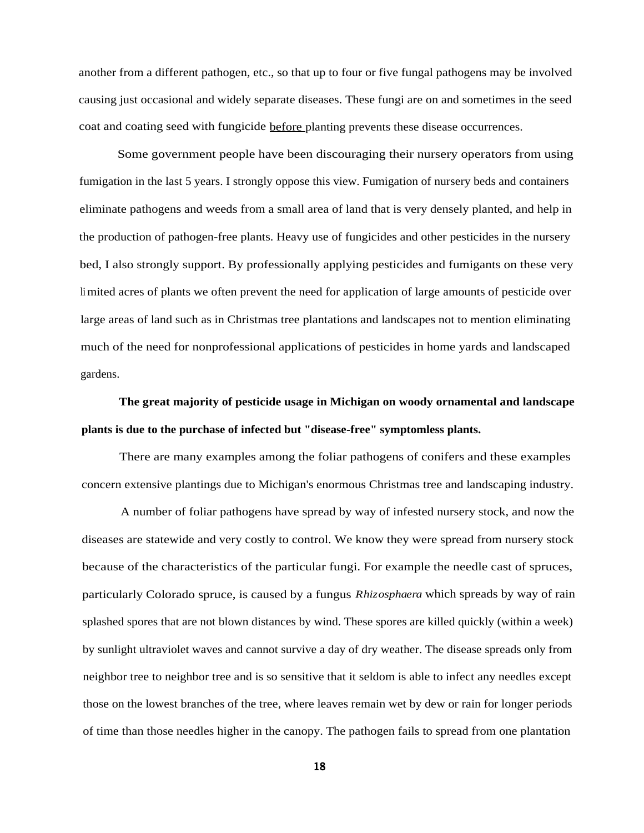another from a different pathogen, etc., so that up to four or five fungal pathogens may be involved causing just occasional and widely separate diseases. These fungi are on and sometimes in the seed coat and coating seed with fungicide before planting prevents these disease occurrences.

Some government people have been discouraging their nursery operators from using fumigation in the last 5 years. I strongly oppose this view. Fumigation of nursery beds and containers eliminate pathogens and weeds from a small area of land that is very densely planted, and help in the production of pathogen-free plants. Heavy use of fungicides and other pesticides in the nursery bed, I also strongly support. By professionally applying pesticides and fumigants on these very limited acres of plants we often prevent the need for application of large amounts of pesticide over large areas of land such as in Christmas tree plantations and landscapes not to mention eliminating much of the need for nonprofessional applications of pesticides in home yards and landscaped gardens.

## **The great majority of pesticide usage in Michigan on woody ornamental and landscape plants is due to the purchase of infected but "disease-free" symptomless plants.**

There are many examples among the foliar pathogens of conifers and these examples concern extensive plantings due to Michigan's enormous Christmas tree and landscaping industry.

A number of foliar pathogens have spread by way of infested nursery stock, and now the diseases are statewide and very costly to control. We know they were spread from nursery stock because of the characteristics of the particular fungi. For example the needle cast of spruces, particularly Colorado spruce, is caused by a fungus *Rhizosphaera* which spreads by way of rain splashed spores that are not blown distances by wind. These spores are killed quickly (within a week) by sunlight ultraviolet waves and cannot survive a day of dry weather. The disease spreads only from neighbor tree to neighbor tree and is so sensitive that it seldom is able to infect any needles except those on the lowest branches of the tree, where leaves remain wet by dew or rain for longer periods of time than those needles higher in the canopy. The pathogen fails to spread from one plantation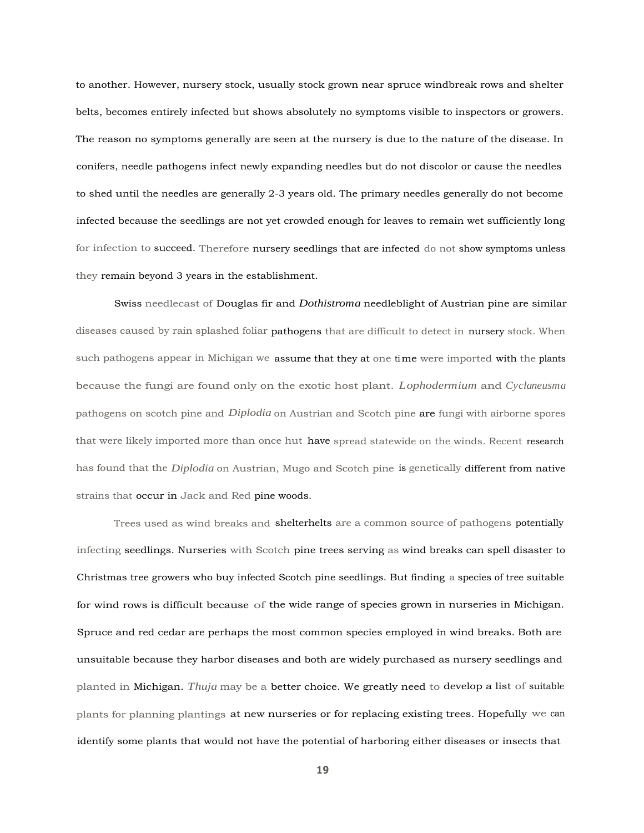to another. However, nursery stock, usually stock grown near spruce windbreak rows and shelter belts, becomes entirely infected but shows absolutely no symptoms visible to inspectors or growers. The reason no symptoms generally are seen at the nursery is due to the nature of the disease. In conifers, needle pathogens infect newly expanding needles but do not discolor or cause the needles to shed until the needles are generally 2-3 years old. The primary needles generally do not become infected because the seedlings are not yet crowded enough for leaves to remain wet sufficiently long for infection to succeed. Therefore nursery seedlings that are infected do not show symptoms unless they remain beyond 3 years in the establishment.

Swiss needlecast of Douglas fir and *Dothistroma* needleblight of Austrian pine are similar diseases caused by rain splashed foliar pathogens that are difficult to detect in nursery stock. When such pathogens appear in Michigan we assume that they at one time were imported with the plants because the fungi are found only on the exotic host plant. *Lophodermium* and *Cyclaneusma* pathogens on scotch pine and *Diplodia* on Austrian and Scotch pine are fungi with airborne spores that were likely imported more than once hut have spread statewide on the winds. Recent research has found that the *Diplodia* on Austrian, Mugo and Scotch pine is genetically different from native strains that occur in Jack and Red pine woods.

Trees used as wind breaks and shelterhelts are a common source of pathogens potentially infecting seedlings. Nurseries with Scotch pine trees serving as wind breaks can spell disaster to Christmas tree growers who buy infected Scotch pine seedlings. But finding a species of tree suitable for wind rows is difficult because of the wide range of species grown in nurseries in Michigan. Spruce and red cedar are perhaps the most common species employed in wind breaks. Both are unsuitable because they harbor diseases and both are widely purchased as nursery seedlings and planted in Michigan. *Thuja* may be a better choice. We greatly need to develop a list of suitable plants for planning plantings at new nurseries or for replacing existing trees. Hopefully we can identify some plants that would not have the potential of harboring either diseases or insects that